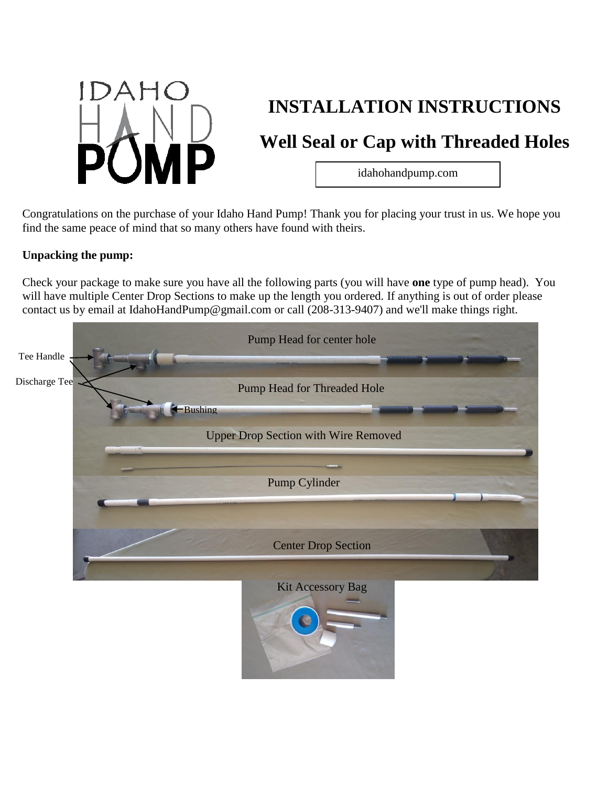

# **INSTALLATION INSTRUCTIONS**

# **Well Seal or Cap with Threaded Holes**

idahohandpump.com

Congratulations on the purchase of your Idaho Hand Pump! Thank you for placing your trust in us. We hope you find the same peace of mind that so many others have found with theirs.

### **Unpacking the pump:**

Check your package to make sure you have all the following parts (you will have **one** type of pump head). You will have multiple Center Drop Sections to make up the length you ordered. If anything is out of order please contact us by email at IdahoHandPump@gmail.com or call (208-313-9407) and we'll make things right.

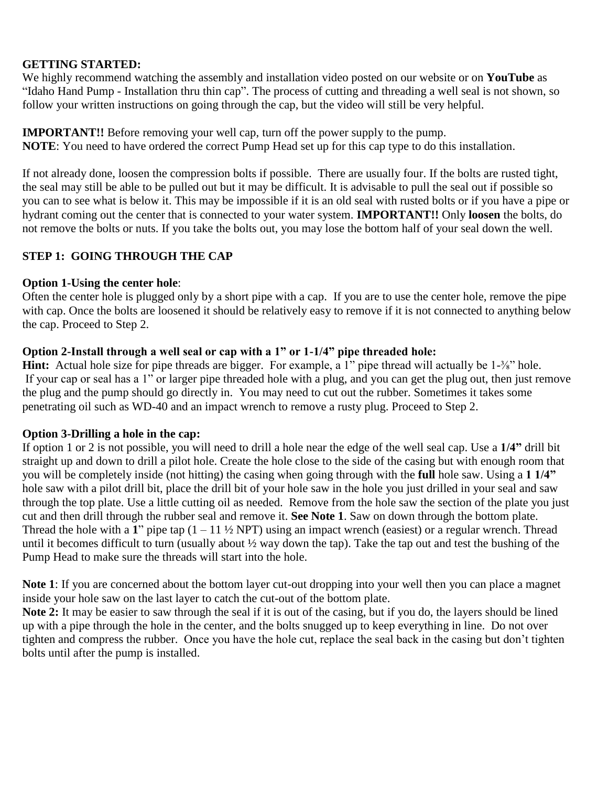### **GETTING STARTED:**

We highly recommend watching the assembly and installation video posted on our website or on **YouTube** as "Idaho Hand Pump - Installation thru thin cap". The process of cutting and threading a well seal is not shown, so follow your written instructions on going through the cap, but the video will still be very helpful.

### **IMPORTANT!!** Before removing your well cap, turn off the power supply to the pump. **NOTE**: You need to have ordered the correct Pump Head set up for this cap type to do this installation.

If not already done, loosen the compression bolts if possible. There are usually four. If the bolts are rusted tight, the seal may still be able to be pulled out but it may be difficult. It is advisable to pull the seal out if possible so you can to see what is below it. This may be impossible if it is an old seal with rusted bolts or if you have a pipe or hydrant coming out the center that is connected to your water system. **IMPORTANT!!** Only **loosen** the bolts, do not remove the bolts or nuts. If you take the bolts out, you may lose the bottom half of your seal down the well.

# **STEP 1: GOING THROUGH THE CAP**

### **Option 1-Using the center hole**:

Often the center hole is plugged only by a short pipe with a cap. If you are to use the center hole, remove the pipe with cap. Once the bolts are loosened it should be relatively easy to remove if it is not connected to anything below the cap. Proceed to Step 2.

### **Option 2-Install through a well seal or cap with a 1" or 1-1/4" pipe threaded hole:**

**Hint:** Actual hole size for pipe threads are bigger. For example, a 1" pipe thread will actually be 1-<sup>3</sup>⁄<sub>8</sub>" hole. If your cap or seal has a 1" or larger pipe threaded hole with a plug, and you can get the plug out, then just remove the plug and the pump should go directly in. You may need to cut out the rubber. Sometimes it takes some penetrating oil such as WD-40 and an impact wrench to remove a rusty plug. Proceed to Step 2.

# **Option 3-Drilling a hole in the cap:**

If option 1 or 2 is not possible, you will need to drill a hole near the edge of the well seal cap. Use a **1/4"** drill bit straight up and down to drill a pilot hole. Create the hole close to the side of the casing but with enough room that you will be completely inside (not hitting) the casing when going through with the **full** hole saw. Using a **1 1/4"** hole saw with a pilot drill bit, place the drill bit of your hole saw in the hole you just drilled in your seal and saw through the top plate. Use a little cutting oil as needed. Remove from the hole saw the section of the plate you just cut and then drill through the rubber seal and remove it. **See Note 1**. Saw on down through the bottom plate. Thread the hole with a 1<sup>"</sup> pipe tap  $(1 - 11 \frac{1}{2} NPT)$  using an impact wrench (easiest) or a regular wrench. Thread until it becomes difficult to turn (usually about  $\frac{1}{2}$  way down the tap). Take the tap out and test the bushing of the Pump Head to make sure the threads will start into the hole.

**Note 1**: If you are concerned about the bottom layer cut-out dropping into your well then you can place a magnet inside your hole saw on the last layer to catch the cut-out of the bottom plate.

**Note 2:** It may be easier to saw through the seal if it is out of the casing, but if you do, the layers should be lined up with a pipe through the hole in the center, and the bolts snugged up to keep everything in line. Do not over tighten and compress the rubber. Once you have the hole cut, replace the seal back in the casing but don't tighten bolts until after the pump is installed.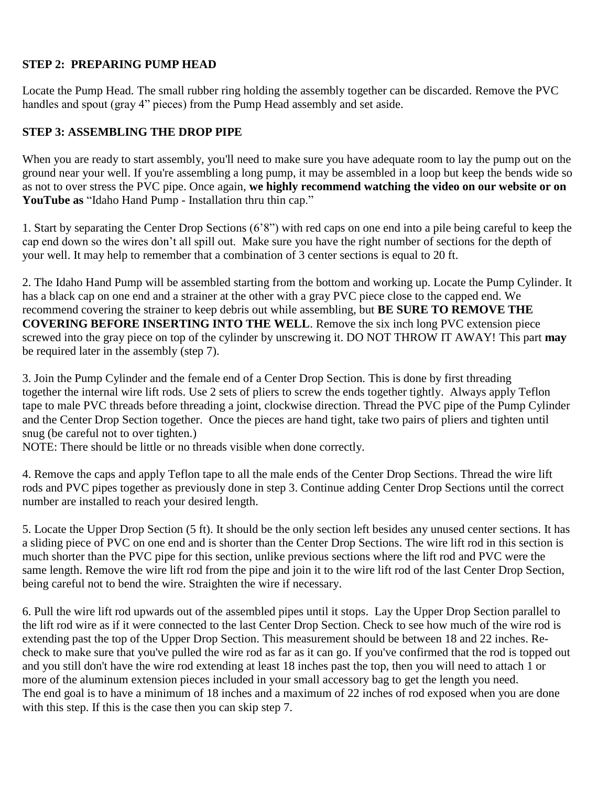# **STEP 2: PREPARING PUMP HEAD**

Locate the Pump Head. The small rubber ring holding the assembly together can be discarded. Remove the PVC handles and spout (gray 4" pieces) from the Pump Head assembly and set aside.

# **STEP 3: ASSEMBLING THE DROP PIPE**

When you are ready to start assembly, you'll need to make sure you have adequate room to lay the pump out on the ground near your well. If you're assembling a long pump, it may be assembled in a loop but keep the bends wide so as not to over stress the PVC pipe. Once again, **we highly recommend watching the video on our website or on YouTube as** "Idaho Hand Pump - Installation thru thin cap."

1. Start by separating the Center Drop Sections (6'8") with red caps on one end into a pile being careful to keep the cap end down so the wires don't all spill out. Make sure you have the right number of sections for the depth of your well. It may help to remember that a combination of 3 center sections is equal to 20 ft.

2. The Idaho Hand Pump will be assembled starting from the bottom and working up. Locate the Pump Cylinder. It has a black cap on one end and a strainer at the other with a gray PVC piece close to the capped end. We recommend covering the strainer to keep debris out while assembling, but **BE SURE TO REMOVE THE COVERING BEFORE INSERTING INTO THE WELL**. Remove the six inch long PVC extension piece screwed into the gray piece on top of the cylinder by unscrewing it. DO NOT THROW IT AWAY! This part **may** be required later in the assembly (step 7).

3. Join the Pump Cylinder and the female end of a Center Drop Section. This is done by first threading together the internal wire lift rods. Use 2 sets of pliers to screw the ends together tightly. Always apply Teflon tape to male PVC threads before threading a joint, clockwise direction. Thread the PVC pipe of the Pump Cylinder and the Center Drop Section together. Once the pieces are hand tight, take two pairs of pliers and tighten until snug (be careful not to over tighten.)

NOTE: There should be little or no threads visible when done correctly.

4. Remove the caps and apply Teflon tape to all the male ends of the Center Drop Sections. Thread the wire lift rods and PVC pipes together as previously done in step 3. Continue adding Center Drop Sections until the correct number are installed to reach your desired length.

5. Locate the Upper Drop Section (5 ft). It should be the only section left besides any unused center sections. It has a sliding piece of PVC on one end and is shorter than the Center Drop Sections. The wire lift rod in this section is much shorter than the PVC pipe for this section, unlike previous sections where the lift rod and PVC were the same length. Remove the wire lift rod from the pipe and join it to the wire lift rod of the last Center Drop Section, being careful not to bend the wire. Straighten the wire if necessary.

6. Pull the wire lift rod upwards out of the assembled pipes until it stops. Lay the Upper Drop Section parallel to the lift rod wire as if it were connected to the last Center Drop Section. Check to see how much of the wire rod is extending past the top of the Upper Drop Section. This measurement should be between 18 and 22 inches. Recheck to make sure that you've pulled the wire rod as far as it can go. If you've confirmed that the rod is topped out and you still don't have the wire rod extending at least 18 inches past the top, then you will need to attach 1 or more of the aluminum extension pieces included in your small accessory bag to get the length you need. The end goal is to have a minimum of 18 inches and a maximum of 22 inches of rod exposed when you are done with this step. If this is the case then you can skip step 7.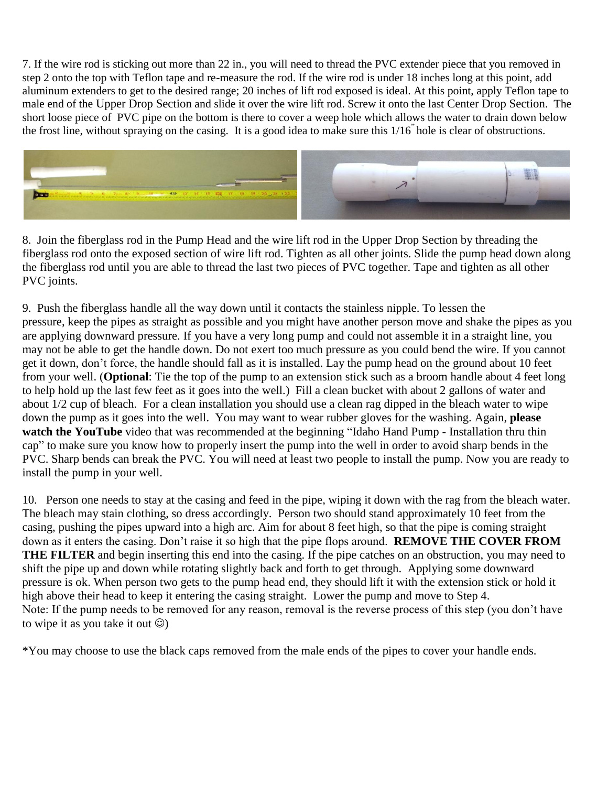7. If the wire rod is sticking out more than 22 in., you will need to thread the PVC extender piece that you removed in step 2 onto the top with Teflon tape and re-measure the rod. If the wire rod is under 18 inches long at this point, add aluminum extenders to get to the desired range; 20 inches of lift rod exposed is ideal. At this point, apply Teflon tape to male end of the Upper Drop Section and slide it over the wire lift rod. Screw it onto the last Center Drop Section. The short loose piece of PVC pipe on the bottom is there to cover a weep hole which allows the water to drain down below the frost line, without spraying on the casing. It is a good idea to make sure this 1/16" hole is clear of obstructions.



8. Join the fiberglass rod in the Pump Head and the wire lift rod in the Upper Drop Section by threading the fiberglass rod onto the exposed section of wire lift rod. Tighten as all other joints. Slide the pump head down along the fiberglass rod until you are able to thread the last two pieces of PVC together. Tape and tighten as all other PVC joints.

9. Push the fiberglass handle all the way down until it contacts the stainless nipple. To lessen the pressure, keep the pipes as straight as possible and you might have another person move and shake the pipes as you are applying downward pressure. If you have a very long pump and could not assemble it in a straight line, you may not be able to get the handle down. Do not exert too much pressure as you could bend the wire. If you cannot get it down, don't force, the handle should fall as it is installed. Lay the pump head on the ground about 10 feet from your well. (**Optional**: Tie the top of the pump to an extension stick such as a broom handle about 4 feet long to help hold up the last few feet as it goes into the well.) Fill a clean bucket with about 2 gallons of water and about 1/2 cup of bleach. For a clean installation you should use a clean rag dipped in the bleach water to wipe down the pump as it goes into the well. You may want to wear rubber gloves for the washing. Again, **please watch the YouTube** video that was recommended at the beginning "Idaho Hand Pump - Installation thru thin cap" to make sure you know how to properly insert the pump into the well in order to avoid sharp bends in the PVC. Sharp bends can break the PVC. You will need at least two people to install the pump. Now you are ready to install the pump in your well.

10. Person one needs to stay at the casing and feed in the pipe, wiping it down with the rag from the bleach water. The bleach may stain clothing, so dress accordingly. Person two should stand approximately 10 feet from the casing, pushing the pipes upward into a high arc. Aim for about 8 feet high, so that the pipe is coming straight down as it enters the casing. Don't raise it so high that the pipe flops around. **REMOVE THE COVER FROM THE FILTER** and begin inserting this end into the casing. If the pipe catches on an obstruction, you may need to shift the pipe up and down while rotating slightly back and forth to get through. Applying some downward pressure is ok. When person two gets to the pump head end, they should lift it with the extension stick or hold it high above their head to keep it entering the casing straight. Lower the pump and move to Step 4. Note: If the pump needs to be removed for any reason, removal is the reverse process of this step (you don't have to wipe it as you take it out  $\circledcirc$ )

\*You may choose to use the black caps removed from the male ends of the pipes to cover your handle ends.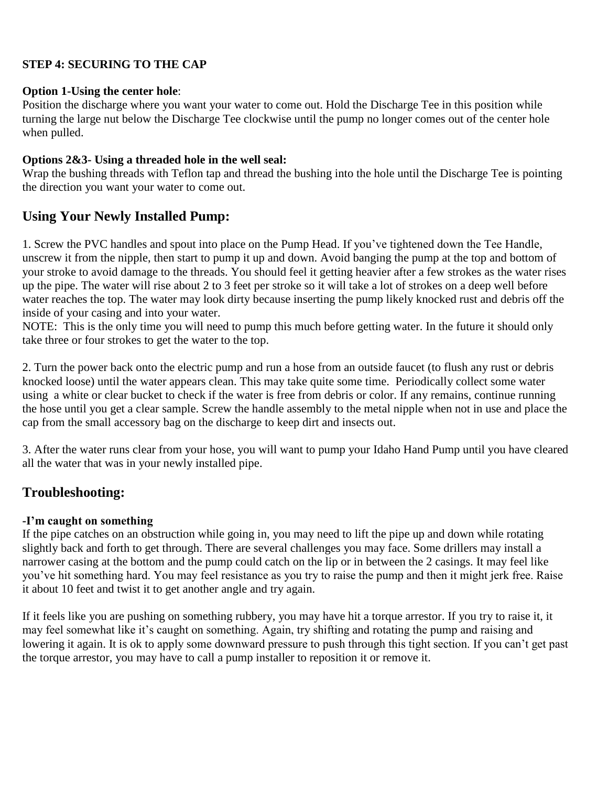# **STEP 4: SECURING TO THE CAP**

#### **Option 1-Using the center hole**:

Position the discharge where you want your water to come out. Hold the Discharge Tee in this position while turning the large nut below the Discharge Tee clockwise until the pump no longer comes out of the center hole when pulled.

### **Options 2&3- Using a threaded hole in the well seal:**

Wrap the bushing threads with Teflon tap and thread the bushing into the hole until the Discharge Tee is pointing the direction you want your water to come out.

# **Using Your Newly Installed Pump:**

1. Screw the PVC handles and spout into place on the Pump Head. If you've tightened down the Tee Handle, unscrew it from the nipple, then start to pump it up and down. Avoid banging the pump at the top and bottom of your stroke to avoid damage to the threads. You should feel it getting heavier after a few strokes as the water rises up the pipe. The water will rise about 2 to 3 feet per stroke so it will take a lot of strokes on a deep well before water reaches the top. The water may look dirty because inserting the pump likely knocked rust and debris off the inside of your casing and into your water.

NOTE: This is the only time you will need to pump this much before getting water. In the future it should only take three or four strokes to get the water to the top.

2. Turn the power back onto the electric pump and run a hose from an outside faucet (to flush any rust or debris knocked loose) until the water appears clean. This may take quite some time. Periodically collect some water using a white or clear bucket to check if the water is free from debris or color. If any remains, continue running the hose until you get a clear sample. Screw the handle assembly to the metal nipple when not in use and place the cap from the small accessory bag on the discharge to keep dirt and insects out.

3. After the water runs clear from your hose, you will want to pump your Idaho Hand Pump until you have cleared all the water that was in your newly installed pipe.

# **Troubleshooting:**

# **-I'm caught on something**

If the pipe catches on an obstruction while going in, you may need to lift the pipe up and down while rotating slightly back and forth to get through. There are several challenges you may face. Some drillers may install a narrower casing at the bottom and the pump could catch on the lip or in between the 2 casings. It may feel like you've hit something hard. You may feel resistance as you try to raise the pump and then it might jerk free. Raise it about 10 feet and twist it to get another angle and try again.

If it feels like you are pushing on something rubbery, you may have hit a torque arrestor. If you try to raise it, it may feel somewhat like it's caught on something. Again, try shifting and rotating the pump and raising and lowering it again. It is ok to apply some downward pressure to push through this tight section. If you can't get past the torque arrestor, you may have to call a pump installer to reposition it or remove it.